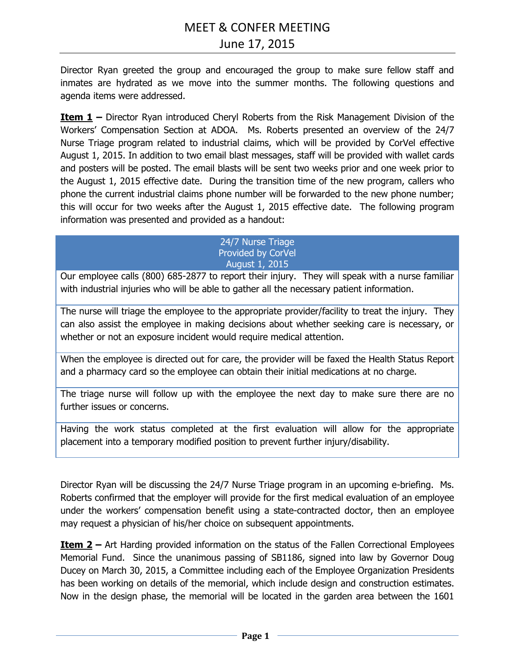Director Ryan greeted the group and encouraged the group to make sure fellow staff and inmates are hydrated as we move into the summer months. The following questions and agenda items were addressed.

**Item 1 –** Director Ryan introduced Cheryl Roberts from the Risk Management Division of the Workers' Compensation Section at ADOA. Ms. Roberts presented an overview of the 24/7 Nurse Triage program related to industrial claims, which will be provided by CorVel effective August 1, 2015. In addition to two email blast messages, staff will be provided with wallet cards and posters will be posted. The email blasts will be sent two weeks prior and one week prior to the August 1, 2015 effective date. During the transition time of the new program, callers who phone the current industrial claims phone number will be forwarded to the new phone number; this will occur for two weeks after the August 1, 2015 effective date. The following program information was presented and provided as a handout:

#### 24/7 Nurse Triage Provided by CorVel August 1, 2015

Our employee calls (800) 685-2877 to report their injury. They will speak with a nurse familiar with industrial injuries who will be able to gather all the necessary patient information.

The nurse will triage the employee to the appropriate provider/facility to treat the injury. They can also assist the employee in making decisions about whether seeking care is necessary, or whether or not an exposure incident would require medical attention.

When the employee is directed out for care, the provider will be faxed the Health Status Report and a pharmacy card so the employee can obtain their initial medications at no charge.

The triage nurse will follow up with the employee the next day to make sure there are no further issues or concerns.

Having the work status completed at the first evaluation will allow for the appropriate placement into a temporary modified position to prevent further injury/disability.

Director Ryan will be discussing the 24/7 Nurse Triage program in an upcoming e-briefing. Ms. Roberts confirmed that the employer will provide for the first medical evaluation of an employee under the workers' compensation benefit using a state-contracted doctor, then an employee may request a physician of his/her choice on subsequent appointments.

**Item 2 –** Art Harding provided information on the status of the Fallen Correctional Employees Memorial Fund. Since the unanimous passing of SB1186, signed into law by Governor Doug Ducey on March 30, 2015, a Committee including each of the Employee Organization Presidents has been working on details of the memorial, which include design and construction estimates. Now in the design phase, the memorial will be located in the garden area between the 1601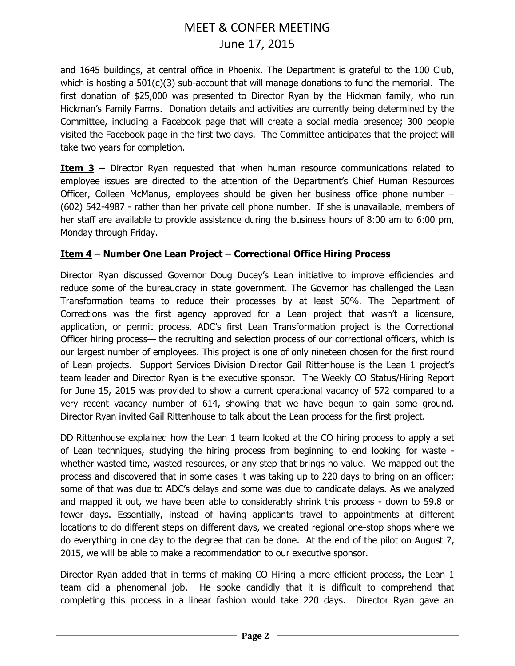# MEET & CONFER MEETING June 17, 2015

and 1645 buildings, at central office in Phoenix. The Department is grateful to the 100 Club, which is hosting a 501(c)(3) sub-account that will manage donations to fund the memorial. The first donation of \$25,000 was presented to Director Ryan by the Hickman family, who run Hickman's Family Farms. Donation details and activities are currently being determined by the Committee, including a Facebook page that will create a social media presence; 300 people visited the Facebook page in the first two days. The Committee anticipates that the project will take two years for completion.

**Item 3 –** Director Ryan requested that when human resource communications related to employee issues are directed to the attention of the Department's Chief Human Resources Officer, Colleen McManus, employees should be given her business office phone number – (602) 542-4987 - rather than her private cell phone number. If she is unavailable, members of her staff are available to provide assistance during the business hours of 8:00 am to 6:00 pm, Monday through Friday.

#### **Item 4 – Number One Lean Project – Correctional Office Hiring Process**

Director Ryan discussed Governor Doug Ducey's Lean initiative to improve efficiencies and reduce some of the bureaucracy in state government. The Governor has challenged the Lean Transformation teams to reduce their processes by at least 50%. The Department of Corrections was the first agency approved for a Lean project that wasn't a licensure, application, or permit process. ADC's first Lean Transformation project is the Correctional Officer hiring process— the recruiting and selection process of our correctional officers, which is our largest number of employees. This project is one of only nineteen chosen for the first round of Lean projects. Support Services Division Director Gail Rittenhouse is the Lean 1 project's team leader and Director Ryan is the executive sponsor. The Weekly CO Status/Hiring Report for June 15, 2015 was provided to show a current operational vacancy of 572 compared to a very recent vacancy number of 614, showing that we have begun to gain some ground. Director Ryan invited Gail Rittenhouse to talk about the Lean process for the first project.

DD Rittenhouse explained how the Lean 1 team looked at the CO hiring process to apply a set of Lean techniques, studying the hiring process from beginning to end looking for waste whether wasted time, wasted resources, or any step that brings no value. We mapped out the process and discovered that in some cases it was taking up to 220 days to bring on an officer; some of that was due to ADC's delays and some was due to candidate delays. As we analyzed and mapped it out, we have been able to considerably shrink this process - down to 59.8 or fewer days. Essentially, instead of having applicants travel to appointments at different locations to do different steps on different days, we created regional one-stop shops where we do everything in one day to the degree that can be done. At the end of the pilot on August 7, 2015, we will be able to make a recommendation to our executive sponsor.

Director Ryan added that in terms of making CO Hiring a more efficient process, the Lean 1 team did a phenomenal job. He spoke candidly that it is difficult to comprehend that completing this process in a linear fashion would take 220 days. Director Ryan gave an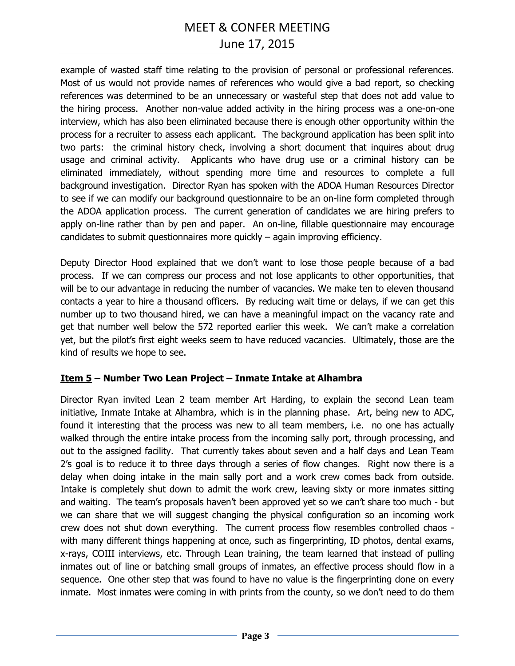# June 17, 2015

example of wasted staff time relating to the provision of personal or professional references. Most of us would not provide names of references who would give a bad report, so checking references was determined to be an unnecessary or wasteful step that does not add value to the hiring process. Another non-value added activity in the hiring process was a one-on-one interview, which has also been eliminated because there is enough other opportunity within the process for a recruiter to assess each applicant. The background application has been split into two parts: the criminal history check, involving a short document that inquires about drug usage and criminal activity. Applicants who have drug use or a criminal history can be eliminated immediately, without spending more time and resources to complete a full background investigation. Director Ryan has spoken with the ADOA Human Resources Director to see if we can modify our background questionnaire to be an on-line form completed through the ADOA application process. The current generation of candidates we are hiring prefers to apply on-line rather than by pen and paper. An on-line, fillable questionnaire may encourage candidates to submit questionnaires more quickly – again improving efficiency.

Deputy Director Hood explained that we don't want to lose those people because of a bad process. If we can compress our process and not lose applicants to other opportunities, that will be to our advantage in reducing the number of vacancies. We make ten to eleven thousand contacts a year to hire a thousand officers. By reducing wait time or delays, if we can get this number up to two thousand hired, we can have a meaningful impact on the vacancy rate and get that number well below the 572 reported earlier this week. We can't make a correlation yet, but the pilot's first eight weeks seem to have reduced vacancies. Ultimately, those are the kind of results we hope to see.

#### **Item 5 – Number Two Lean Project – Inmate Intake at Alhambra**

Director Ryan invited Lean 2 team member Art Harding, to explain the second Lean team initiative, Inmate Intake at Alhambra, which is in the planning phase. Art, being new to ADC, found it interesting that the process was new to all team members, i.e. no one has actually walked through the entire intake process from the incoming sally port, through processing, and out to the assigned facility. That currently takes about seven and a half days and Lean Team 2's goal is to reduce it to three days through a series of flow changes. Right now there is a delay when doing intake in the main sally port and a work crew comes back from outside. Intake is completely shut down to admit the work crew, leaving sixty or more inmates sitting and waiting. The team's proposals haven't been approved yet so we can't share too much - but we can share that we will suggest changing the physical configuration so an incoming work crew does not shut down everything. The current process flow resembles controlled chaos with many different things happening at once, such as fingerprinting, ID photos, dental exams, x-rays, COIII interviews, etc. Through Lean training, the team learned that instead of pulling inmates out of line or batching small groups of inmates, an effective process should flow in a sequence. One other step that was found to have no value is the fingerprinting done on every inmate. Most inmates were coming in with prints from the county, so we don't need to do them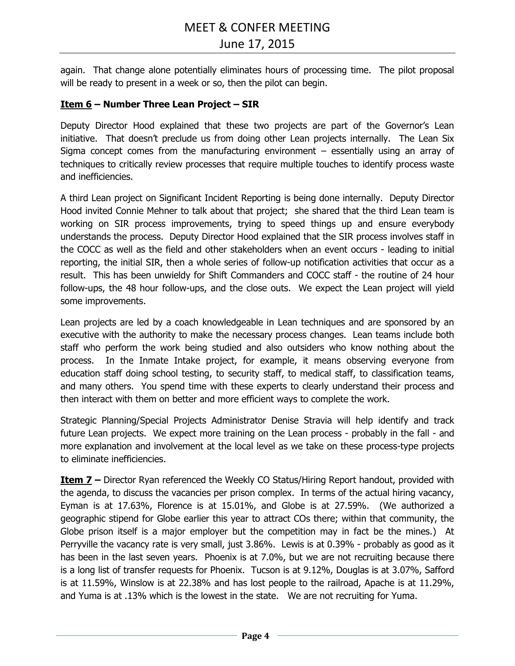again. That change alone potentially eliminates hours of processing time. The pilot proposal will be ready to present in a week or so, then the pilot can begin.

#### **Item 6 – Number Three Lean Project – SIR**

Deputy Director Hood explained that these two projects are part of the Governor's Lean initiative. That doesn't preclude us from doing other Lean projects internally. The Lean Six Sigma concept comes from the manufacturing environment – essentially using an array of techniques to critically review processes that require multiple touches to identify process waste and inefficiencies.

A third Lean project on Significant Incident Reporting is being done internally. Deputy Director Hood invited Connie Mehner to talk about that project; she shared that the third Lean team is working on SIR process improvements, trying to speed things up and ensure everybody understands the process. Deputy Director Hood explained that the SIR process involves staff in the COCC as well as the field and other stakeholders when an event occurs - leading to initial reporting, the initial SIR, then a whole series of follow-up notification activities that occur as a result. This has been unwieldy for Shift Commanders and COCC staff - the routine of 24 hour follow-ups, the 48 hour follow-ups, and the close outs. We expect the Lean project will yield some improvements.

Lean projects are led by a coach knowledgeable in Lean techniques and are sponsored by an executive with the authority to make the necessary process changes. Lean teams include both staff who perform the work being studied and also outsiders who know nothing about the process. In the Inmate Intake project, for example, it means observing everyone from education staff doing school testing, to security staff, to medical staff, to classification teams, and many others. You spend time with these experts to clearly understand their process and then interact with them on better and more efficient ways to complete the work.

Strategic Planning/Special Projects Administrator Denise Stravia will help identify and track future Lean projects. We expect more training on the Lean process - probably in the fall - and more explanation and involvement at the local level as we take on these process-type projects to eliminate inefficiencies.

**Item 7 –** Director Ryan referenced the Weekly CO Status/Hiring Report handout, provided with the agenda, to discuss the vacancies per prison complex. In terms of the actual hiring vacancy, Eyman is at 17.63%, Florence is at 15.01%, and Globe is at 27.59%. (We authorized a geographic stipend for Globe earlier this year to attract COs there; within that community, the Globe prison itself is a major employer but the competition may in fact be the mines.) At Perryville the vacancy rate is very small, just 3.86%. Lewis is at 0.39% - probably as good as it has been in the last seven years. Phoenix is at 7.0%, but we are not recruiting because there is a long list of transfer requests for Phoenix. Tucson is at 9.12%, Douglas is at 3.07%, Safford is at 11.59%, Winslow is at 22.38% and has lost people to the railroad, Apache is at 11.29%, and Yuma is at .13% which is the lowest in the state. We are not recruiting for Yuma.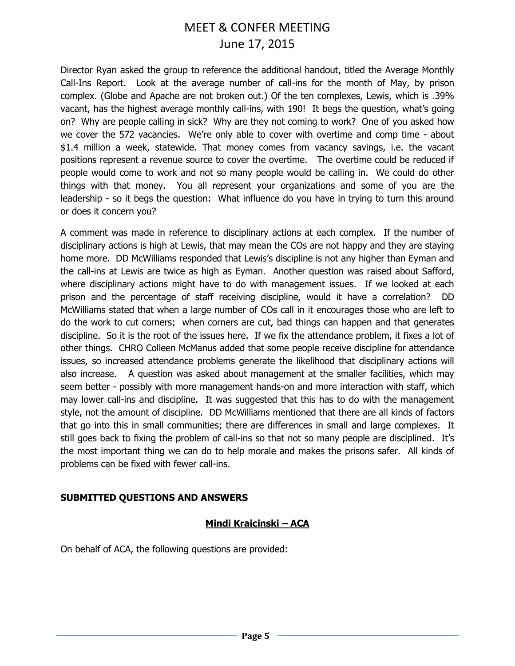# June 17, 2015

Director Ryan asked the group to reference the additional handout, titled the Average Monthly Call-Ins Report. Look at the average number of call-ins for the month of May, by prison complex. (Globe and Apache are not broken out.) Of the ten complexes, Lewis, which is .39% vacant, has the highest average monthly call-ins, with 190! It begs the question, what's going on? Why are people calling in sick? Why are they not coming to work? One of you asked how we cover the 572 vacancies. We're only able to cover with overtime and comp time - about \$1.4 million a week, statewide. That money comes from vacancy savings, i.e. the vacant positions represent a revenue source to cover the overtime. The overtime could be reduced if people would come to work and not so many people would be calling in. We could do other things with that money. You all represent your organizations and some of you are the leadership - so it begs the question: What influence do you have in trying to turn this around or does it concern you?

A comment was made in reference to disciplinary actions at each complex. If the number of disciplinary actions is high at Lewis, that may mean the COs are not happy and they are staying home more. DD McWilliams responded that Lewis's discipline is not any higher than Eyman and the call-ins at Lewis are twice as high as Eyman. Another question was raised about Safford, where disciplinary actions might have to do with management issues. If we looked at each prison and the percentage of staff receiving discipline, would it have a correlation? DD McWilliams stated that when a large number of COs call in it encourages those who are left to do the work to cut corners; when corners are cut, bad things can happen and that generates discipline. So it is the root of the issues here. If we fix the attendance problem, it fixes a lot of other things. CHRO Colleen McManus added that some people receive discipline for attendance issues, so increased attendance problems generate the likelihood that disciplinary actions will also increase. A question was asked about management at the smaller facilities, which may seem better - possibly with more management hands-on and more interaction with staff, which may lower call-ins and discipline. It was suggested that this has to do with the management style, not the amount of discipline. DD McWilliams mentioned that there are all kinds of factors that go into this in small communities; there are differences in small and large complexes. It still goes back to fixing the problem of call-ins so that not so many people are disciplined. It's the most important thing we can do to help morale and makes the prisons safer. All kinds of problems can be fixed with fewer call-ins.

#### **SUBMITTED QUESTIONS AND ANSWERS**

#### **Mindi Kraicinski – ACA**

On behalf of ACA, the following questions are provided: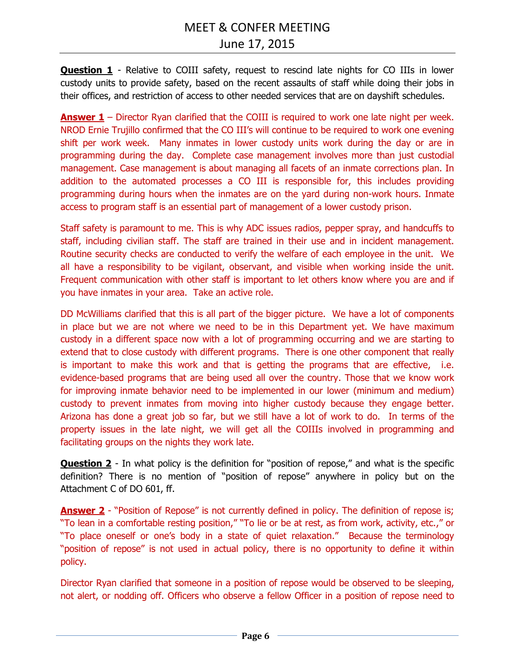**Question 1** - Relative to COIII safety, request to rescind late nights for CO IIIs in lower custody units to provide safety, based on the recent assaults of staff while doing their jobs in their offices, and restriction of access to other needed services that are on dayshift schedules.

**Answer 1** – Director Ryan clarified that the COIII is required to work one late night per week. NROD Ernie Trujillo confirmed that the CO III's will continue to be required to work one evening shift per work week. Many inmates in lower custody units work during the day or are in programming during the day. Complete case management involves more than just custodial management. Case management is about managing all facets of an inmate corrections plan. In addition to the automated processes a CO III is responsible for, this includes providing programming during hours when the inmates are on the yard during non-work hours. Inmate access to program staff is an essential part of management of a lower custody prison.

Staff safety is paramount to me. This is why ADC issues radios, pepper spray, and handcuffs to staff, including civilian staff. The staff are trained in their use and in incident management. Routine security checks are conducted to verify the welfare of each employee in the unit. We all have a responsibility to be vigilant, observant, and visible when working inside the unit. Frequent communication with other staff is important to let others know where you are and if you have inmates in your area. Take an active role.

DD McWilliams clarified that this is all part of the bigger picture. We have a lot of components in place but we are not where we need to be in this Department yet. We have maximum custody in a different space now with a lot of programming occurring and we are starting to extend that to close custody with different programs. There is one other component that really is important to make this work and that is getting the programs that are effective, i.e. evidence-based programs that are being used all over the country. Those that we know work for improving inmate behavior need to be implemented in our lower (minimum and medium) custody to prevent inmates from moving into higher custody because they engage better. Arizona has done a great job so far, but we still have a lot of work to do. In terms of the property issues in the late night, we will get all the COIIIs involved in programming and facilitating groups on the nights they work late.

**Question 2** - In what policy is the definition for "position of repose," and what is the specific definition? There is no mention of "position of repose" anywhere in policy but on the Attachment C of DO 601, ff.

**Answer 2** - "Position of Repose" is not currently defined in policy. The definition of repose is; "To lean in a comfortable resting position," "To lie or be at rest, as from work, activity, etc.," or "To place oneself or one's body in a state of quiet relaxation." Because the terminology "position of repose" is not used in actual policy, there is no opportunity to define it within policy.

Director Ryan clarified that someone in a position of repose would be observed to be sleeping, not alert, or nodding off. Officers who observe a fellow Officer in a position of repose need to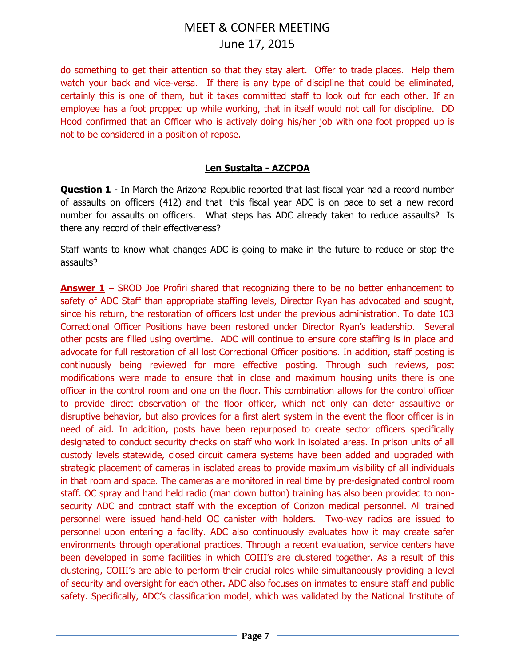do something to get their attention so that they stay alert. Offer to trade places. Help them watch your back and vice-versa. If there is any type of discipline that could be eliminated, certainly this is one of them, but it takes committed staff to look out for each other. If an employee has a foot propped up while working, that in itself would not call for discipline. DD Hood confirmed that an Officer who is actively doing his/her job with one foot propped up is not to be considered in a position of repose.

#### **Len Sustaita - AZCPOA**

**Question 1** - In March the Arizona Republic reported that last fiscal year had a record number of assaults on officers (412) and that this fiscal year ADC is on pace to set a new record number for assaults on officers. What steps has ADC already taken to reduce assaults? Is there any record of their effectiveness?

Staff wants to know what changes ADC is going to make in the future to reduce or stop the assaults?

**Answer 1** – SROD Joe Profiri shared that recognizing there to be no better enhancement to safety of ADC Staff than appropriate staffing levels, Director Ryan has advocated and sought, since his return, the restoration of officers lost under the previous administration. To date 103 Correctional Officer Positions have been restored under Director Ryan's leadership. Several other posts are filled using overtime. ADC will continue to ensure core staffing is in place and advocate for full restoration of all lost Correctional Officer positions. In addition, staff posting is continuously being reviewed for more effective posting. Through such reviews, post modifications were made to ensure that in close and maximum housing units there is one officer in the control room and one on the floor. This combination allows for the control officer to provide direct observation of the floor officer, which not only can deter assaultive or disruptive behavior, but also provides for a first alert system in the event the floor officer is in need of aid. In addition, posts have been repurposed to create sector officers specifically designated to conduct security checks on staff who work in isolated areas. In prison units of all custody levels statewide, closed circuit camera systems have been added and upgraded with strategic placement of cameras in isolated areas to provide maximum visibility of all individuals in that room and space. The cameras are monitored in real time by pre-designated control room staff. OC spray and hand held radio (man down button) training has also been provided to nonsecurity ADC and contract staff with the exception of Corizon medical personnel. All trained personnel were issued hand-held OC canister with holders. Two-way radios are issued to personnel upon entering a facility. ADC also continuously evaluates how it may create safer environments through operational practices. Through a recent evaluation, service centers have been developed in some facilities in which COIII's are clustered together. As a result of this clustering, COIII's are able to perform their crucial roles while simultaneously providing a level of security and oversight for each other. ADC also focuses on inmates to ensure staff and public safety. Specifically, ADC's classification model, which was validated by the National Institute of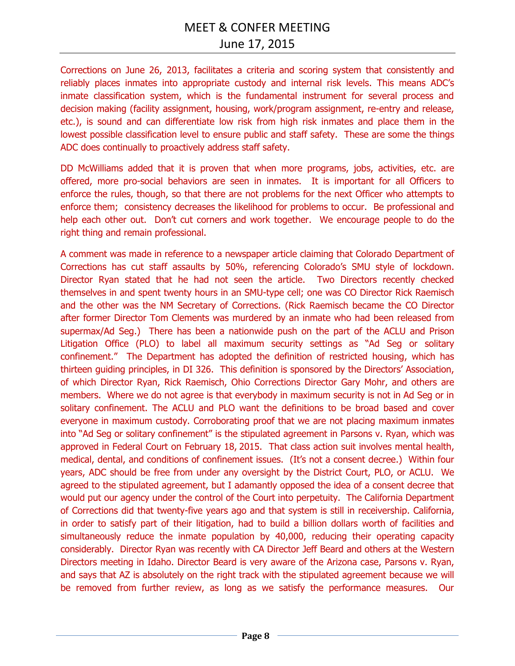Corrections on June 26, 2013, facilitates a criteria and scoring system that consistently and reliably places inmates into appropriate custody and internal risk levels. This means ADC's inmate classification system, which is the fundamental instrument for several process and decision making (facility assignment, housing, work/program assignment, re-entry and release, etc.), is sound and can differentiate low risk from high risk inmates and place them in the lowest possible classification level to ensure public and staff safety. These are some the things ADC does continually to proactively address staff safety.

DD McWilliams added that it is proven that when more programs, jobs, activities, etc. are offered, more pro-social behaviors are seen in inmates. It is important for all Officers to enforce the rules, though, so that there are not problems for the next Officer who attempts to enforce them; consistency decreases the likelihood for problems to occur. Be professional and help each other out. Don't cut corners and work together. We encourage people to do the right thing and remain professional.

A comment was made in reference to a newspaper article claiming that Colorado Department of Corrections has cut staff assaults by 50%, referencing Colorado's SMU style of lockdown. Director Ryan stated that he had not seen the article. Two Directors recently checked themselves in and spent twenty hours in an SMU-type cell; one was CO Director Rick Raemisch and the other was the NM Secretary of Corrections. (Rick Raemisch became the CO Director after former Director Tom Clements was murdered by an inmate who had been released from supermax/Ad Seg.) There has been a nationwide push on the part of the ACLU and Prison Litigation Office (PLO) to label all maximum security settings as "Ad Seg or solitary confinement." The Department has adopted the definition of restricted housing, which has thirteen guiding principles, in DI 326. This definition is sponsored by the Directors' Association, of which Director Ryan, Rick Raemisch, Ohio Corrections Director Gary Mohr, and others are members. Where we do not agree is that everybody in maximum security is not in Ad Seg or in solitary confinement. The ACLU and PLO want the definitions to be broad based and cover everyone in maximum custody. Corroborating proof that we are not placing maximum inmates into "Ad Seg or solitary confinement" is the stipulated agreement in Parsons v. Ryan, which was approved in Federal Court on February 18, 2015. That class action suit involves mental health, medical, dental, and conditions of confinement issues. (It's not a consent decree.) Within four years, ADC should be free from under any oversight by the District Court, PLO, or ACLU. We agreed to the stipulated agreement, but I adamantly opposed the idea of a consent decree that would put our agency under the control of the Court into perpetuity. The California Department of Corrections did that twenty-five years ago and that system is still in receivership. California, in order to satisfy part of their litigation, had to build a billion dollars worth of facilities and simultaneously reduce the inmate population by 40,000, reducing their operating capacity considerably. Director Ryan was recently with CA Director Jeff Beard and others at the Western Directors meeting in Idaho. Director Beard is very aware of the Arizona case, Parsons v. Ryan, and says that AZ is absolutely on the right track with the stipulated agreement because we will be removed from further review, as long as we satisfy the performance measures. Our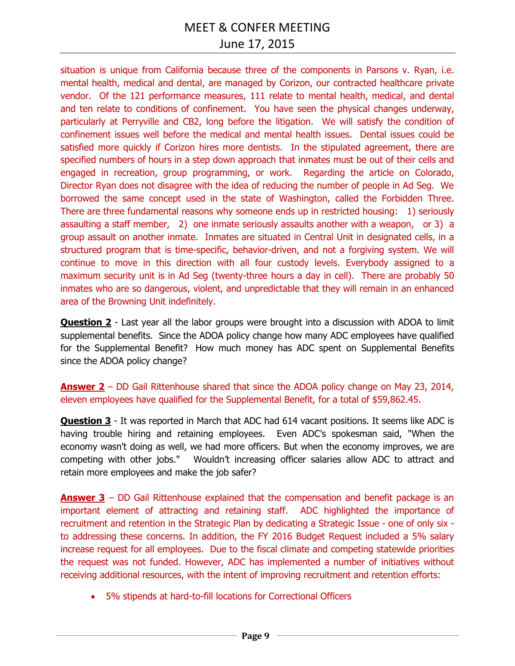# June 17, 2015

situation is unique from California because three of the components in Parsons v. Ryan, i.e. mental health, medical and dental, are managed by Corizon, our contracted healthcare private vendor. Of the 121 performance measures, 111 relate to mental health, medical, and dental and ten relate to conditions of confinement. You have seen the physical changes underway, particularly at Perryville and CB2, long before the litigation. We will satisfy the condition of confinement issues well before the medical and mental health issues. Dental issues could be satisfied more quickly if Corizon hires more dentists. In the stipulated agreement, there are specified numbers of hours in a step down approach that inmates must be out of their cells and engaged in recreation, group programming, or work. Regarding the article on Colorado, Director Ryan does not disagree with the idea of reducing the number of people in Ad Seg. We borrowed the same concept used in the state of Washington, called the Forbidden Three. There are three fundamental reasons why someone ends up in restricted housing: 1) seriously assaulting a staff member, 2) one inmate seriously assaults another with a weapon, or 3) a group assault on another inmate. Inmates are situated in Central Unit in designated cells, in a structured program that is time-specific, behavior-driven, and not a forgiving system. We will continue to move in this direction with all four custody levels. Everybody assigned to a maximum security unit is in Ad Seg (twenty-three hours a day in cell). There are probably 50 inmates who are so dangerous, violent, and unpredictable that they will remain in an enhanced area of the Browning Unit indefinitely.

**Question 2** - Last year all the labor groups were brought into a discussion with ADOA to limit supplemental benefits. Since the ADOA policy change how many ADC employees have qualified for the Supplemental Benefit? How much money has ADC spent on Supplemental Benefits since the ADOA policy change?

#### **Answer 2** – DD Gail Rittenhouse shared that since the ADOA policy change on May 23, 2014, eleven employees have qualified for the Supplemental Benefit, for a total of \$59,862.45.

**Question 3** - It was reported in March that ADC had 614 vacant positions. It seems like ADC is having trouble hiring and retaining employees. Even ADC's spokesman said, "When the economy wasn't doing as well, we had more officers. But when the economy improves, we are competing with other jobs." Wouldn't increasing officer salaries allow ADC to attract and retain more employees and make the job safer?

**Answer 3** – DD Gail Rittenhouse explained that the compensation and benefit package is an important element of attracting and retaining staff. ADC highlighted the importance of recruitment and retention in the Strategic Plan by dedicating a Strategic Issue - one of only six to addressing these concerns. In addition, the FY 2016 Budget Request included a 5% salary increase request for all employees. Due to the fiscal climate and competing statewide priorities the request was not funded. However, ADC has implemented a number of initiatives without receiving additional resources, with the intent of improving recruitment and retention efforts:

5% stipends at hard-to-fill locations for Correctional Officers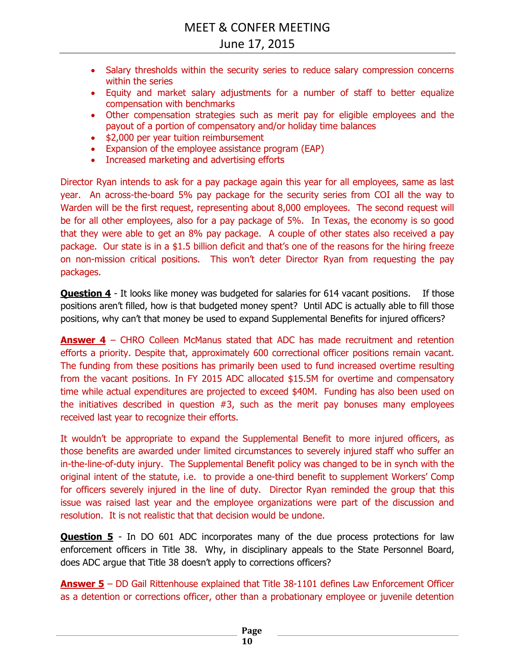- Salary thresholds within the security series to reduce salary compression concerns within the series
- Equity and market salary adjustments for a number of staff to better equalize compensation with benchmarks
- Other compensation strategies such as merit pay for eligible employees and the payout of a portion of compensatory and/or holiday time balances
- \$2,000 per year tuition reimbursement
- Expansion of the employee assistance program (EAP)
- Increased marketing and advertising efforts

Director Ryan intends to ask for a pay package again this year for all employees, same as last year. An across-the-board 5% pay package for the security series from COI all the way to Warden will be the first request, representing about 8,000 employees. The second request will be for all other employees, also for a pay package of 5%. In Texas, the economy is so good that they were able to get an 8% pay package. A couple of other states also received a pay package. Our state is in a \$1.5 billion deficit and that's one of the reasons for the hiring freeze on non-mission critical positions. This won't deter Director Ryan from requesting the pay packages.

**Question 4** - It looks like money was budgeted for salaries for 614 vacant positions. If those positions aren't filled, how is that budgeted money spent? Until ADC is actually able to fill those positions, why can't that money be used to expand Supplemental Benefits for injured officers?

**Answer 4** – CHRO Colleen McManus stated that ADC has made recruitment and retention efforts a priority. Despite that, approximately 600 correctional officer positions remain vacant. The funding from these positions has primarily been used to fund increased overtime resulting from the vacant positions. In FY 2015 ADC allocated \$15.5M for overtime and compensatory time while actual expenditures are projected to exceed \$40M. Funding has also been used on the initiatives described in question #3, such as the merit pay bonuses many employees received last year to recognize their efforts.

It wouldn't be appropriate to expand the Supplemental Benefit to more injured officers, as those benefits are awarded under limited circumstances to severely injured staff who suffer an in-the-line-of-duty injury. The Supplemental Benefit policy was changed to be in synch with the original intent of the statute, i.e. to provide a one-third benefit to supplement Workers' Comp for officers severely injured in the line of duty. Director Ryan reminded the group that this issue was raised last year and the employee organizations were part of the discussion and resolution. It is not realistic that that decision would be undone.

**Question 5** - In DO 601 ADC incorporates many of the due process protections for law enforcement officers in Title 38. Why, in disciplinary appeals to the State Personnel Board, does ADC argue that Title 38 doesn't apply to corrections officers?

**Answer 5** – DD Gail Rittenhouse explained that Title 38-1101 defines Law Enforcement Officer as a detention or corrections officer, other than a probationary employee or juvenile detention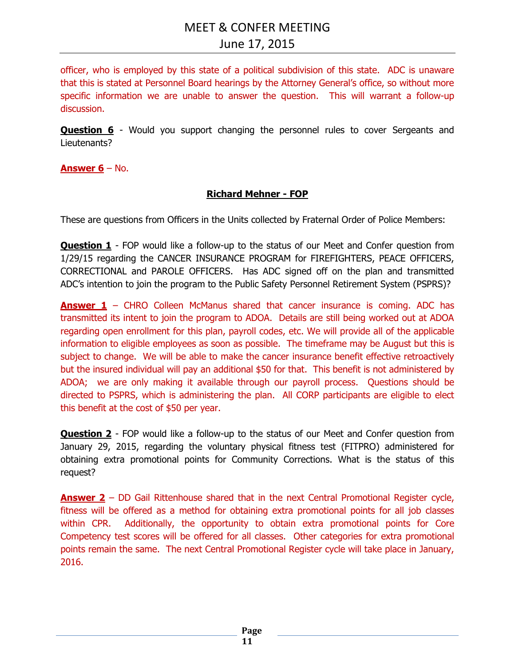officer, who is employed by this state of a political subdivision of this state. ADC is unaware that this is stated at Personnel Board hearings by the Attorney General's office, so without more specific information we are unable to answer the question. This will warrant a follow-up discussion.

**Question 6** - Would you support changing the personnel rules to cover Sergeants and Lieutenants?

**Answer 6** – No.

#### **Richard Mehner - FOP**

These are questions from Officers in the Units collected by Fraternal Order of Police Members:

**Question 1** - FOP would like a follow-up to the status of our Meet and Confer question from 1/29/15 regarding the CANCER INSURANCE PROGRAM for FIREFIGHTERS, PEACE OFFICERS, CORRECTIONAL and PAROLE OFFICERS. Has ADC signed off on the plan and transmitted ADC's intention to join the program to the Public Safety Personnel Retirement System (PSPRS)?

**Answer 1** – CHRO Colleen McManus shared that cancer insurance is coming. ADC has transmitted its intent to join the program to ADOA. Details are still being worked out at ADOA regarding open enrollment for this plan, payroll codes, etc. We will provide all of the applicable information to eligible employees as soon as possible. The timeframe may be August but this is subject to change. We will be able to make the cancer insurance benefit effective retroactively but the insured individual will pay an additional \$50 for that. This benefit is not administered by ADOA; we are only making it available through our payroll process. Questions should be directed to PSPRS, which is administering the plan. All CORP participants are eligible to elect this benefit at the cost of \$50 per year.

**Question 2** - FOP would like a follow-up to the status of our Meet and Confer question from January 29, 2015, regarding the voluntary physical fitness test (FITPRO) administered for obtaining extra promotional points for Community Corrections. What is the status of this request?

**Answer 2** – DD Gail Rittenhouse shared that in the next Central Promotional Register cycle, fitness will be offered as a method for obtaining extra promotional points for all job classes within CPR. Additionally, the opportunity to obtain extra promotional points for Core Competency test scores will be offered for all classes. Other categories for extra promotional points remain the same. The next Central Promotional Register cycle will take place in January, 2016.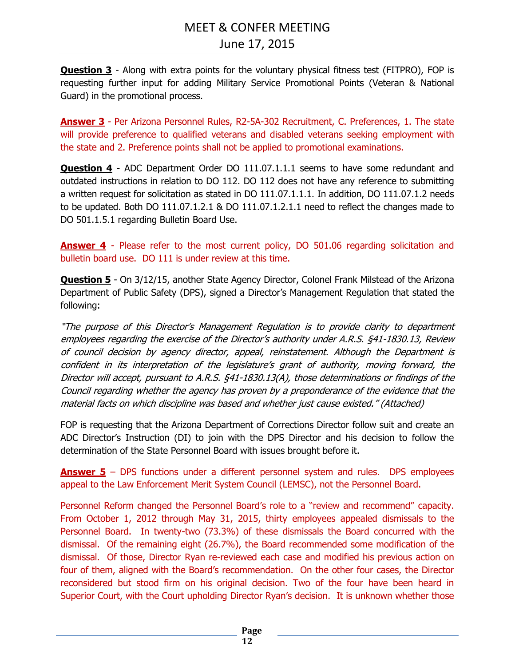**Question 3** - Along with extra points for the voluntary physical fitness test (FITPRO), FOP is requesting further input for adding Military Service Promotional Points (Veteran & National Guard) in the promotional process.

**Answer 3** - Per Arizona Personnel Rules, R2-5A-302 Recruitment, C. Preferences, 1. The state will provide preference to qualified veterans and disabled veterans seeking employment with the state and 2. Preference points shall not be applied to promotional examinations.

**Question 4** - ADC Department Order DO 111.07.1.1.1 seems to have some redundant and outdated instructions in relation to DO 112. DO 112 does not have any reference to submitting a written request for solicitation as stated in DO 111.07.1.1.1. In addition, DO 111.07.1.2 needs to be updated. Both DO 111.07.1.2.1 & DO 111.07.1.2.1.1 need to reflect the changes made to DO 501.1.5.1 regarding Bulletin Board Use.

Answer 4 - Please refer to the most current policy, DO 501.06 regarding solicitation and bulletin board use. DO 111 is under review at this time.

**Question 5** - On 3/12/15, another State Agency Director, Colonel Frank Milstead of the Arizona Department of Public Safety (DPS), signed a Director's Management Regulation that stated the following:

"The purpose of this Director's Management Regulation is to provide clarity to department employees regarding the exercise of the Director's authority under A.R.S. §41-1830.13, Review of council decision by agency director, appeal, reinstatement. Although the Department is confident in its interpretation of the legislature's grant of authority, moving forward, the Director will accept, pursuant to A.R.S. §41-1830.13(A), those determinations or findings of the Council regarding whether the agency has proven by a preponderance of the evidence that the material facts on which discipline was based and whether just cause existed." (Attached)

FOP is requesting that the Arizona Department of Corrections Director follow suit and create an ADC Director's Instruction (DI) to join with the DPS Director and his decision to follow the determination of the State Personnel Board with issues brought before it.

**Answer 5** – DPS functions under a different personnel system and rules. DPS employees appeal to the Law Enforcement Merit System Council (LEMSC), not the Personnel Board.

Personnel Reform changed the Personnel Board's role to a "review and recommend" capacity. From October 1, 2012 through May 31, 2015, thirty employees appealed dismissals to the Personnel Board. In twenty-two (73.3%) of these dismissals the Board concurred with the dismissal. Of the remaining eight (26.7%), the Board recommended some modification of the dismissal. Of those, Director Ryan re-reviewed each case and modified his previous action on four of them, aligned with the Board's recommendation. On the other four cases, the Director reconsidered but stood firm on his original decision. Two of the four have been heard in Superior Court, with the Court upholding Director Ryan's decision. It is unknown whether those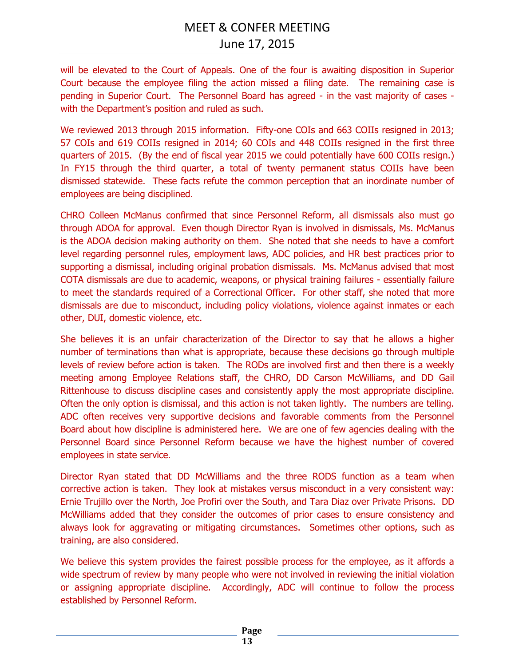will be elevated to the Court of Appeals. One of the four is awaiting disposition in Superior Court because the employee filing the action missed a filing date. The remaining case is pending in Superior Court. The Personnel Board has agreed - in the vast majority of cases with the Department's position and ruled as such.

We reviewed 2013 through 2015 information. Fifty-one COIs and 663 COIIs resigned in 2013; 57 COIs and 619 COIIs resigned in 2014; 60 COIs and 448 COIIs resigned in the first three quarters of 2015. (By the end of fiscal year 2015 we could potentially have 600 COIIs resign.) In FY15 through the third quarter, a total of twenty permanent status COIIs have been dismissed statewide. These facts refute the common perception that an inordinate number of employees are being disciplined.

CHRO Colleen McManus confirmed that since Personnel Reform, all dismissals also must go through ADOA for approval. Even though Director Ryan is involved in dismissals, Ms. McManus is the ADOA decision making authority on them. She noted that she needs to have a comfort level regarding personnel rules, employment laws, ADC policies, and HR best practices prior to supporting a dismissal, including original probation dismissals. Ms. McManus advised that most COTA dismissals are due to academic, weapons, or physical training failures - essentially failure to meet the standards required of a Correctional Officer. For other staff, she noted that more dismissals are due to misconduct, including policy violations, violence against inmates or each other, DUI, domestic violence, etc.

She believes it is an unfair characterization of the Director to say that he allows a higher number of terminations than what is appropriate, because these decisions go through multiple levels of review before action is taken. The RODs are involved first and then there is a weekly meeting among Employee Relations staff, the CHRO, DD Carson McWilliams, and DD Gail Rittenhouse to discuss discipline cases and consistently apply the most appropriate discipline. Often the only option is dismissal, and this action is not taken lightly. The numbers are telling. ADC often receives very supportive decisions and favorable comments from the Personnel Board about how discipline is administered here. We are one of few agencies dealing with the Personnel Board since Personnel Reform because we have the highest number of covered employees in state service.

Director Ryan stated that DD McWilliams and the three RODS function as a team when corrective action is taken. They look at mistakes versus misconduct in a very consistent way: Ernie Trujillo over the North, Joe Profiri over the South, and Tara Diaz over Private Prisons. DD McWilliams added that they consider the outcomes of prior cases to ensure consistency and always look for aggravating or mitigating circumstances. Sometimes other options, such as training, are also considered.

We believe this system provides the fairest possible process for the employee, as it affords a wide spectrum of review by many people who were not involved in reviewing the initial violation or assigning appropriate discipline. Accordingly, ADC will continue to follow the process established by Personnel Reform.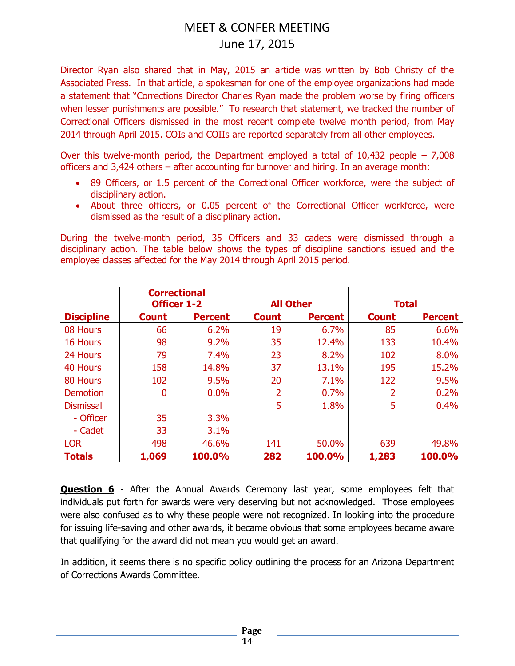# June 17, 2015

Director Ryan also shared that in May, 2015 an article was written by Bob Christy of the Associated Press. In that article, a spokesman for one of the employee organizations had made a statement that "Corrections Director Charles Ryan made the problem worse by firing officers when lesser punishments are possible." To research that statement, we tracked the number of Correctional Officers dismissed in the most recent complete twelve month period, from May 2014 through April 2015. COIs and COIIs are reported separately from all other employees.

Over this twelve-month period, the Department employed a total of  $10,432$  people – 7,008 officers and 3,424 others – after accounting for turnover and hiring. In an average month:

- 89 Officers, or 1.5 percent of the Correctional Officer workforce, were the subject of disciplinary action.
- About three officers, or 0.05 percent of the Correctional Officer workforce, were dismissed as the result of a disciplinary action.

During the twelve-month period, 35 Officers and 33 cadets were dismissed through a disciplinary action. The table below shows the types of discipline sanctions issued and the employee classes affected for the May 2014 through April 2015 period.

|                   | <b>Correctional</b><br><b>Officer 1-2</b> |                | <b>All Other</b> |                | <b>Total</b> |                |
|-------------------|-------------------------------------------|----------------|------------------|----------------|--------------|----------------|
| <b>Discipline</b> | <b>Count</b>                              | <b>Percent</b> | <b>Count</b>     | <b>Percent</b> | <b>Count</b> | <b>Percent</b> |
| 08 Hours          | 66                                        | 6.2%           | 19               | 6.7%           | 85           | 6.6%           |
| 16 Hours          | 98                                        | 9.2%           | 35               | 12.4%          | 133          | 10.4%          |
| 24 Hours          | 79                                        | 7.4%           | 23               | 8.2%           | 102          | 8.0%           |
| 40 Hours          | 158                                       | 14.8%          | 37               | 13.1%          | 195          | 15.2%          |
| 80 Hours          | 102                                       | 9.5%           | 20               | 7.1%           | 122          | 9.5%           |
| Demotion          | 0                                         | 0.0%           | 2                | 0.7%           | 2            | 0.2%           |
| <b>Dismissal</b>  |                                           |                | 5                | 1.8%           | 5            | 0.4%           |
| - Officer         | 35                                        | 3.3%           |                  |                |              |                |
| - Cadet           | 33                                        | 3.1%           |                  |                |              |                |
| <b>LOR</b>        | 498                                       | 46.6%          | 141              | 50.0%          | 639          | 49.8%          |
| <b>Totals</b>     | 1,069                                     | 100.0%         | 282              | 100.0%         | 1,283        | 100.0%         |

**Question 6** - After the Annual Awards Ceremony last year, some employees felt that individuals put forth for awards were very deserving but not acknowledged. Those employees were also confused as to why these people were not recognized. In looking into the procedure for issuing life-saving and other awards, it became obvious that some employees became aware that qualifying for the award did not mean you would get an award.

In addition, it seems there is no specific policy outlining the process for an Arizona Department of Corrections Awards Committee.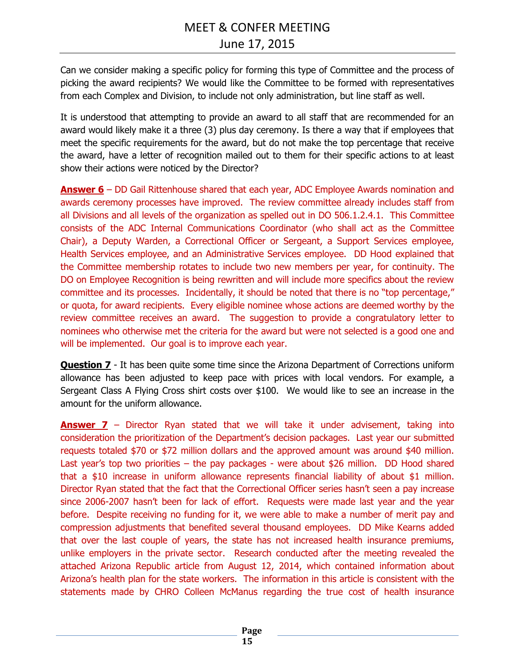Can we consider making a specific policy for forming this type of Committee and the process of picking the award recipients? We would like the Committee to be formed with representatives from each Complex and Division, to include not only administration, but line staff as well.

It is understood that attempting to provide an award to all staff that are recommended for an award would likely make it a three (3) plus day ceremony. Is there a way that if employees that meet the specific requirements for the award, but do not make the top percentage that receive the award, have a letter of recognition mailed out to them for their specific actions to at least show their actions were noticed by the Director?

**Answer 6** – DD Gail Rittenhouse shared that each year, ADC Employee Awards nomination and awards ceremony processes have improved. The review committee already includes staff from all Divisions and all levels of the organization as spelled out in DO 506.1.2.4.1. This Committee consists of the ADC Internal Communications Coordinator (who shall act as the Committee Chair), a Deputy Warden, a Correctional Officer or Sergeant, a Support Services employee, Health Services employee, and an Administrative Services employee. DD Hood explained that the Committee membership rotates to include two new members per year, for continuity. The DO on Employee Recognition is being rewritten and will include more specifics about the review committee and its processes. Incidentally, it should be noted that there is no "top percentage," or quota, for award recipients. Every eligible nominee whose actions are deemed worthy by the review committee receives an award. The suggestion to provide a congratulatory letter to nominees who otherwise met the criteria for the award but were not selected is a good one and will be implemented. Our goal is to improve each year.

**Question 7** - It has been quite some time since the Arizona Department of Corrections uniform allowance has been adjusted to keep pace with prices with local vendors. For example, a Sergeant Class A Flying Cross shirt costs over \$100. We would like to see an increase in the amount for the uniform allowance.

**Answer 7** – Director Ryan stated that we will take it under advisement, taking into consideration the prioritization of the Department's decision packages. Last year our submitted requests totaled \$70 or \$72 million dollars and the approved amount was around \$40 million. Last year's top two priorities – the pay packages - were about \$26 million. DD Hood shared that a \$10 increase in uniform allowance represents financial liability of about \$1 million. Director Ryan stated that the fact that the Correctional Officer series hasn't seen a pay increase since 2006-2007 hasn't been for lack of effort. Requests were made last year and the year before. Despite receiving no funding for it, we were able to make a number of merit pay and compression adjustments that benefited several thousand employees. DD Mike Kearns added that over the last couple of years, the state has not increased health insurance premiums, unlike employers in the private sector. Research conducted after the meeting revealed the attached Arizona Republic article from August 12, 2014, which contained information about Arizona's health plan for the state workers. The information in this article is consistent with the statements made by CHRO Colleen McManus regarding the true cost of health insurance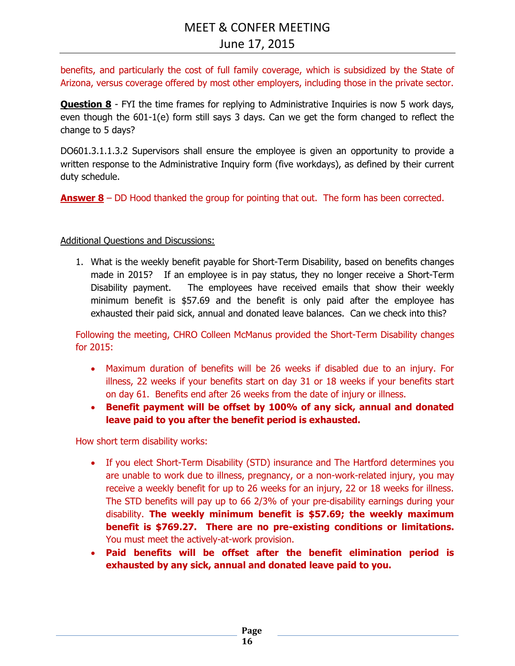benefits, and particularly the cost of full family coverage, which is subsidized by the State of Arizona, versus coverage offered by most other employers, including those in the private sector.

**Question 8** - FYI the time frames for replying to Administrative Inquiries is now 5 work days, even though the 601-1(e) form still says 3 days. Can we get the form changed to reflect the change to 5 days?

DO601.3.1.1.3.2 Supervisors shall ensure the employee is given an opportunity to provide a written response to the Administrative Inquiry form (five workdays), as defined by their current duty schedule.

**Answer 8** – DD Hood thanked the group for pointing that out. The form has been corrected.

#### Additional Questions and Discussions:

1. What is the weekly benefit payable for Short-Term Disability, based on benefits changes made in 2015? If an employee is in pay status, they no longer receive a Short-Term Disability payment. The employees have received emails that show their weekly minimum benefit is \$57.69 and the benefit is only paid after the employee has exhausted their paid sick, annual and donated leave balances. Can we check into this?

Following the meeting, CHRO Colleen McManus provided the Short-Term Disability changes for 2015:

- Maximum duration of benefits will be 26 weeks if disabled due to an injury. For illness, 22 weeks if your benefits start on day 31 or 18 weeks if your benefits start on day 61. Benefits end after 26 weeks from the date of injury or illness.
- **Benefit payment will be offset by 100% of any sick, annual and donated leave paid to you after the benefit period is exhausted.**

How short term disability works:

- If you elect Short-Term Disability (STD) insurance and The Hartford determines you are unable to work due to illness, pregnancy, or a non-work-related injury, you may receive a weekly benefit for up to 26 weeks for an injury, 22 or 18 weeks for illness. The STD benefits will pay up to 66 2/3% of your pre-disability earnings during your disability. **The weekly minimum benefit is \$57.69; the weekly maximum benefit is \$769.27. There are no pre-existing conditions or limitations.** You must meet the actively-at-work provision.
- **Paid benefits will be offset after the benefit elimination period is exhausted by any sick, annual and donated leave paid to you.**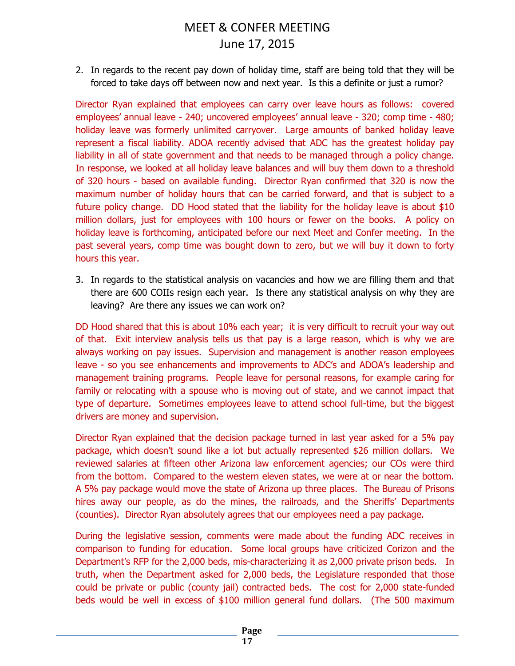2. In regards to the recent pay down of holiday time, staff are being told that they will be forced to take days off between now and next year. Is this a definite or just a rumor?

Director Ryan explained that employees can carry over leave hours as follows: covered employees' annual leave - 240; uncovered employees' annual leave - 320; comp time - 480; holiday leave was formerly unlimited carryover. Large amounts of banked holiday leave represent a fiscal liability. ADOA recently advised that ADC has the greatest holiday pay liability in all of state government and that needs to be managed through a policy change. In response, we looked at all holiday leave balances and will buy them down to a threshold of 320 hours - based on available funding. Director Ryan confirmed that 320 is now the maximum number of holiday hours that can be carried forward, and that is subject to a future policy change. DD Hood stated that the liability for the holiday leave is about \$10 million dollars, just for employees with 100 hours or fewer on the books. A policy on holiday leave is forthcoming, anticipated before our next Meet and Confer meeting. In the past several years, comp time was bought down to zero, but we will buy it down to forty hours this year.

3. In regards to the statistical analysis on vacancies and how we are filling them and that there are 600 COIIs resign each year. Is there any statistical analysis on why they are leaving? Are there any issues we can work on?

DD Hood shared that this is about 10% each year; it is very difficult to recruit your way out of that. Exit interview analysis tells us that pay is a large reason, which is why we are always working on pay issues. Supervision and management is another reason employees leave - so you see enhancements and improvements to ADC's and ADOA's leadership and management training programs. People leave for personal reasons, for example caring for family or relocating with a spouse who is moving out of state, and we cannot impact that type of departure. Sometimes employees leave to attend school full-time, but the biggest drivers are money and supervision.

Director Ryan explained that the decision package turned in last year asked for a 5% pay package, which doesn't sound like a lot but actually represented \$26 million dollars. We reviewed salaries at fifteen other Arizona law enforcement agencies; our COs were third from the bottom. Compared to the western eleven states, we were at or near the bottom. A 5% pay package would move the state of Arizona up three places. The Bureau of Prisons hires away our people, as do the mines, the railroads, and the Sheriffs' Departments (counties). Director Ryan absolutely agrees that our employees need a pay package.

During the legislative session, comments were made about the funding ADC receives in comparison to funding for education. Some local groups have criticized Corizon and the Department's RFP for the 2,000 beds, mis-characterizing it as 2,000 private prison beds. In truth, when the Department asked for 2,000 beds, the Legislature responded that those could be private or public (county jail) contracted beds. The cost for 2,000 state-funded beds would be well in excess of \$100 million general fund dollars. (The 500 maximum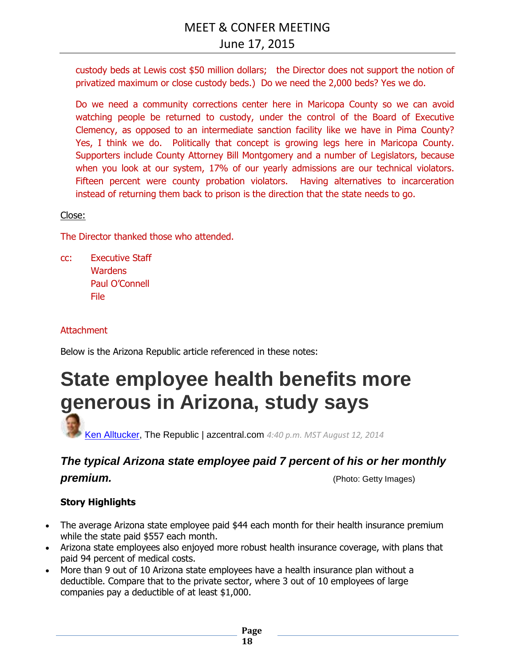custody beds at Lewis cost \$50 million dollars; the Director does not support the notion of privatized maximum or close custody beds.) Do we need the 2,000 beds? Yes we do.

Do we need a community corrections center here in Maricopa County so we can avoid watching people be returned to custody, under the control of the Board of Executive Clemency, as opposed to an intermediate sanction facility like we have in Pima County? Yes, I think we do. Politically that concept is growing legs here in Maricopa County. Supporters include County Attorney Bill Montgomery and a number of Legislators, because when you look at our system, 17% of our yearly admissions are our technical violators. Fifteen percent were county probation violators. Having alternatives to incarceration instead of returning them back to prison is the direction that the state needs to go.

#### Close:

The Director thanked those who attended.

cc: Executive Staff **Wardens** Paul O'Connell File

#### **Attachment**

Below is the Arizona Republic article referenced in these notes:

# **State employee health benefits more generous in Arizona, study says**

[Ken Alltucker,](http://www.azcentral.com/staff/17223/ken-alltucker/) The Republic | azcentral.com *4:40 p.m. MST August 12, 2014*

# *The typical Arizona state employee paid 7 percent of his or her monthly*  **premium.** (Photo: Getty Images)

#### **Story Highlights**

- The average Arizona state employee paid \$44 each month for their health insurance premium while the state paid \$557 each month.
- Arizona state employees also enjoyed more robust health insurance coverage, with plans that paid 94 percent of medical costs.
- More than 9 out of 10 Arizona state employees have a health insurance plan without a deductible. Compare that to the private sector, where 3 out of 10 employees of large companies pay a deductible of at least \$1,000.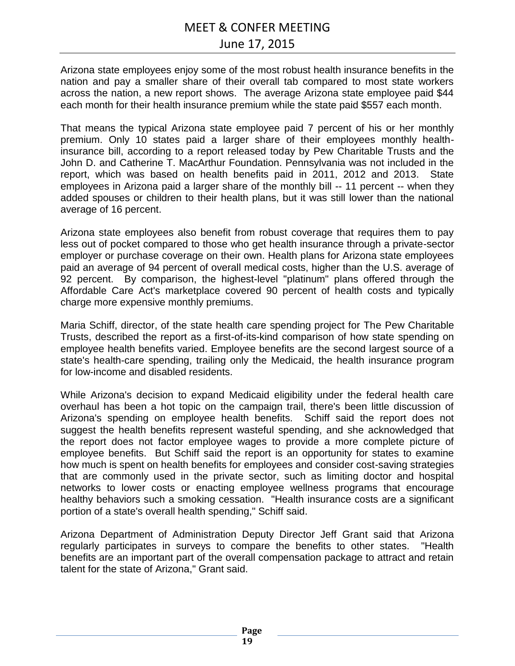## June 17, 2015

Arizona state employees enjoy some of the most robust health insurance benefits in the nation and pay a smaller share of their overall tab compared to most state workers across the nation, a new report shows. The average Arizona state employee paid \$44 each month for their health insurance premium while the state paid \$557 each month.

That means the typical Arizona state employee paid 7 percent of his or her monthly premium. Only 10 states paid a larger share of their employees monthly healthinsurance bill, according to a report released today by Pew Charitable Trusts and the John D. and Catherine T. MacArthur Foundation. Pennsylvania was not included in the report, which was based on health benefits paid in 2011, 2012 and 2013. State employees in Arizona paid a larger share of the monthly bill -- 11 percent -- when they added spouses or children to their health plans, but it was still lower than the national average of 16 percent.

Arizona state employees also benefit from robust coverage that requires them to pay less out of pocket compared to those who get health insurance through a private-sector employer or purchase coverage on their own. Health plans for Arizona state employees paid an average of 94 percent of overall medical costs, higher than the U.S. average of 92 percent. By comparison, the highest-level "platinum" plans offered through the Affordable Care Act's marketplace covered 90 percent of health costs and typically charge more expensive monthly premiums.

Maria Schiff, director, of the state health care spending project for The Pew Charitable Trusts, described the report as a first-of-its-kind comparison of how state spending on employee health benefits varied. Employee benefits are the second largest source of a state's health-care spending, trailing only the Medicaid, the health insurance program for low-income and disabled residents.

While Arizona's decision to expand Medicaid eligibility under the federal health care overhaul has been a hot topic on the campaign trail, there's been little discussion of Arizona's spending on employee health benefits. Schiff said the report does not suggest the health benefits represent wasteful spending, and she acknowledged that the report does not factor employee wages to provide a more complete picture of employee benefits. But Schiff said the report is an opportunity for states to examine how much is spent on health benefits for employees and consider cost-saving strategies that are commonly used in the private sector, such as limiting doctor and hospital networks to lower costs or enacting employee wellness programs that encourage healthy behaviors such a smoking cessation. "Health insurance costs are a significant portion of a state's overall health spending," Schiff said.

Arizona Department of Administration Deputy Director Jeff Grant said that Arizona regularly participates in surveys to compare the benefits to other states. "Health benefits are an important part of the overall compensation package to attract and retain talent for the state of Arizona," Grant said.